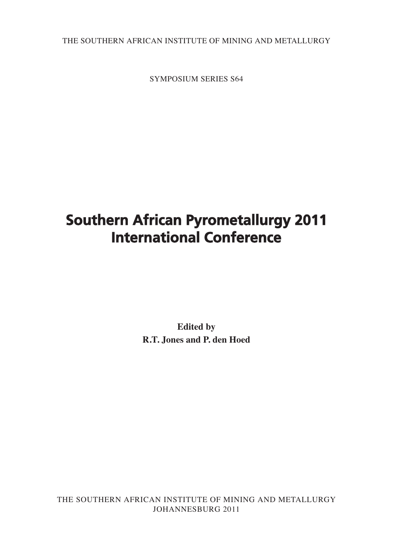THE SOUTHERN AFRICAN INSTITUTE OF MINING AND METALLURGY

SYMPOSIUM SERIES S64

# **Southern African Pyrometallurgy 2011 International Conference**

**Edited by R.T. Jones and P. den Hoed**

THE SOUTHERN AFRICAN INSTITUTE OF MINING AND METALLURGY JOHANNESBURG 2011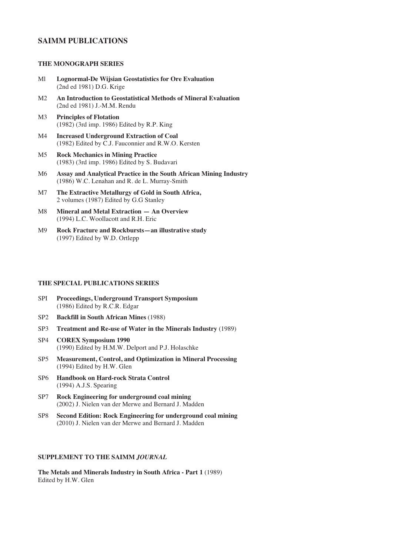## **SAIMM PUBLICATIONS**

### **THE MONOGRAPH SERIES**

- Ml **Lognormal-De Wijsian Geostatistics for Ore Evaluation** (2nd ed 1981) D.G. Krige
- M2 **An Introduction to Geostatistical Methods of Mineral Evaluation** (2nd ed 1981) J.-M.M. Rendu
- M3 **Principles of Flotation** (1982) (3rd imp. 1986) Edited by R.P. King
- M4 **Increased Underground Extraction of Coal** (1982) Edited by C.J. Fauconnier and R.W.O. Kersten
- M5 **Rock Mechanics in Mining Practice** (1983) (3rd imp. 1986) Edited by S. Budavari
- M6 **Assay and Analytical Practice in the South African Mining Industry** (1986) W.C. Lenahan and R. de L. Murray-Smith
- M7 **The Extractive Metallurgy of Gold in South Africa,** 2 volumes (1987) Edited by G.G Stanley
- M8 **Mineral and Metal Extraction An Overview** (1994) L.C. Woollacott and R.H. Eric
- M9 **Rock Fracture and Rockbursts—an illustrative study** (1997) Edited by W.D. Ortlepp

#### **THE SPECIAL PUBLICATIONS SERIES**

- SPI **Proceedings, Underground Transport Symposium** (1986) Edited by R.C.R. Edgar
- SP2 **Backfill in South African Mines** (1988)
- SP3 **Treatment and Re-use of Water in the Minerals Industry** (1989)
- SP4 **COREX Symposium 1990** (1990) Edited by H.M.W. Delport and P.J. Holaschke
- SP5 **Measurement, Control, and Optimization in Mineral Processing** (1994) Edited by H.W. Glen
- SP6 **Handbook on Hard-rock Strata Control** (1994) A.J.S. Spearing
- SP7 **Rock Engineering for underground coal mining** (2002) J. Nielen van der Merwe and Bernard J. Madden
- SP8 **Second Edition: Rock Engineering for underground coal mining** (2010) J. Nielen van der Merwe and Bernard J. Madden

#### **SUPPLEMENT TO THE SAIMM** *JOURNAL*

**The Metals and Minerals Industry in South Africa - Part 1** (1989) Edited by H.W. Glen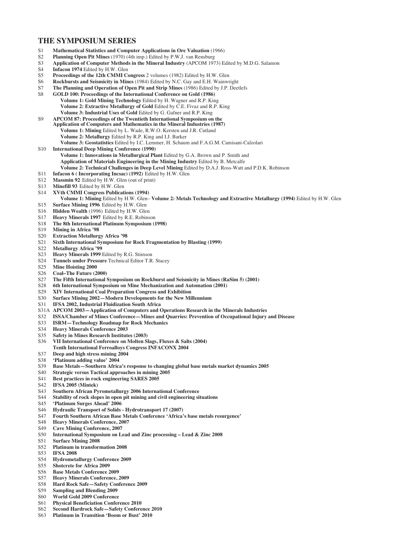#### **THE SYMPOSIUM SERIES**

- S1 **Mathematical Statistics and Computer Applications in Ore Valuation** (1966)
- S2 **Planning Open Pit Mines** (1970) (4th imp.) Edited by P.W.J. van Rensburg
- S3 **Application of Computer Methods in the Mineral Industry** (APCOM 1973) Edited by M.D.G. Salamon
- S4 **Infacon 1974** Edited by H.W. Glen<br>S5 **Proceedings of the 12th CMMI Community**
- Proceedings of the 12th CMMI Congress 2 volumes (1982) Edited by H.W. Glen
- S6 **Rockbursts and Seismicity in Mines** (1984) Edited by N.C. Gay and E.H. Wainwright
- S7 **The Planning and Operation of Open Pit and Strip Mines** (1986) Edited by J.P. Deetlefs
- S8 **GOLD 100: Proceedings of the International Conference on Gold (1986) Volume 1: Gold Mining Technology** Edited by H. Wagner and R.P. King **Volume 2: Extractive Metallurgy of Gold** Edited by C.E. Fivaz and R.P. King **Volume 3: Industrial Uses of Gold** Edited by G. Gafner and R.P. King
- S9 **APCOM 87: Proceedings of the Twentieth International Symposium on the Application of Computers and Mathematics in the Mineral Industries (1987) Volume 1: Mining** Edited by L. Wade, R.W.O. Kersten and J.R. Cutland **Volume 2: Metallurgy** Edited by R.P. King and I.J. Barker
	- **Volume 3: Geostatistics** Edited by I.C. Lemmer, H. Schaum and F.A.G.M. Camisani-Calzolari
- S10 **International Deep Mining Conference (1990)**
	- **Volume 1: Innovations in Metallurgical Plant** Edited by G.A. Brown and P. Smith and **Application of Materials Engineering in the Mining Industry** Edited by B. Metcalfe
		- **Volume 2: Technical Challenges in Deep Level Mining** Edited by D.A.J. Ross-Watt and P.D.K. Robinson
- S11 **Infacon 6 ( Incorporating Incsac) (1992)** Edited by H.W. Glen
- S12 **Massmin 92** Edited by H.W. Glen (out of print)
- S13 **Minefill 93** Edited by H.W. Glen<br>S14 **XVth CMMI Congress Publicat**
- S14 **XVth CMMI Congress Publications (1994)**
- **Volume 1: Mining** Edited by H.W. Glen– **Volume 2: Metals Technology and Extractive Metallurgy (1994)** Edited by H.W. Glen S15 **Surface Mining 1996** Edited by H.W. Glen
- Hidden Wealth (1996) Edited by H.W. Glen
- S17 **Heavy Minerals 1997** Edited by R.E. Robinson
- S18 **The 8th International Platinum Symposium (1998)**
- S19 **Mining in Africa '98**
- S20 **Extraction Metallurgy Africa '98**
- S21 **Sixth International Symposium for Rock Fragmentation by Blasting (1999)**
- S22 **Metallurgy Africa '99**
- S23 **Heavy Minerals 1999** Edited by R.G. Stimson
- S24 **Tunnels under Pressure** Technical Editor T.R. Stacey
- S25 **Mine Hoisting 2000**
- S26 **Coal–The Future (2000)**
- S27 **The Fifth International Symposium on Rockburst and Seismicity in Mines (RaSim 5) (2001)**
- S28 **6th International Symposium on Mine Mechanization and Automation (2001)**
- S29 **XIV International Coal Preparation Congress and Exhibition**
- S30 **Surface Mining 2002—Modern Developments for the New Millennium**
- S31 **IFSA 2002, Industrial Fluidization South Africa**
- S31A **APCOM 2003—Application of Computers and Operations Research in the Minerals Industries**<br>S32 **ISSA/Chamber of Mines Conference—Mines and Quarries: Prevention of Occupational Injury**
- S32 **ISSA/Chamber of Mines Conference—Mines and Quarries: Prevention of Occupational Injury and Disease**
- S33 **ISRM—Technology Roadmap for Rock Mechanics**
- S34 **Heavy Minerals Conference 2003**
- **Safety in Mines Research Institutes (2003)**
- S36 **VII International Conference on Molten Slags, Fluxes & Salts (2004)**
- **Tenth International Ferroalloys Congress INFACONX 2004**
- S37 **Deep and high stress mining 2004**
- S38 **'Platinum adding value' 2004**
- S39 **Base Metals—Southern Africa's response to changing global base metals market dynamics 2005**
- **Strategic versus Tactical approaches in mining 2005**
- S41 **Best practices in rock engineering SARES 2005**
- S42 **IFSA 2005 (Mintek)**
- S43 **Southern African Pyrometallurgy 2006 International Conference**
- S44 **Stability of rock slopes in open pit mining and civil engineering situations**
- S45 **'Platinum Surges Ahead' 2006**
- S46 **Hydraulic Transport of Solids Hydrotransport 17 (2007)**
- S47 **Fourth Southern African Base Metals Conference 'Africa's base metals resurgence'**
- S48 **Heavy Minerals Conference, 2007**
- S49 **Cave Mining Conference, 2007**
- S50 **International Symposium on Lead and Zinc processing Lead & Zinc 2008**
- S51 **Surface Mining 2008**
- S52 **Platinum in transformation 2008**
- S53 **IFSA 2008**
- S54 **Hydrometallurgy Conference 2009**
- S55 **Shotcrete for Africa 2009**
- **Base Metals Conference 2009**
- S57 **Heavy Minerals Conference, 2009**
- S58 **Hard Rock Safe—Safety Conference 2009**
- **Sampling and Blending 2009**
- S60 **World Gold 2009 Conference**
- S61 **Physical Beneficiation Conference 2010**
- S62 **Second Hardrock Safe—Safety Conference 2010**
- S63 **Platinum in Transition 'Boom or Bust' 2010**